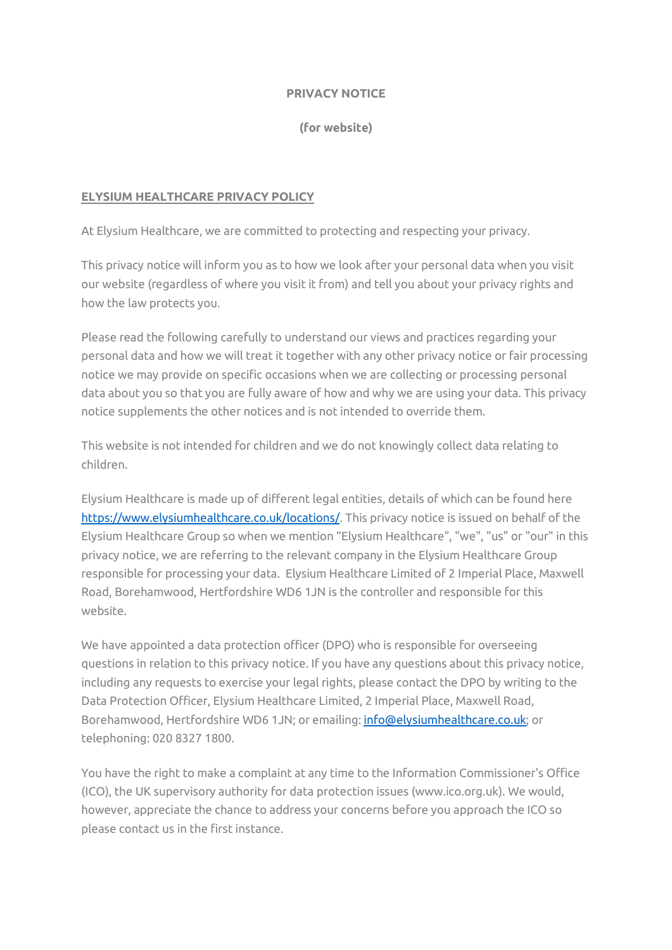#### **PRIVACY NOTICE**

**(for website)**

### **ELYSIUM HEALTHCARE PRIVACY POLICY**

At Elysium Healthcare, we are committed to protecting and respecting your privacy.

This privacy notice will inform you as to how we look after your personal data when you visit our website (regardless of where you visit it from) and tell you about your privacy rights and how the law protects you.

Please read the following carefully to understand our views and practices regarding your personal data and how we will treat it together with any other privacy notice or fair processing notice we may provide on specific occasions when we are collecting or processing personal data about you so that you are fully aware of how and why we are using your data. This privacy notice supplements the other notices and is not intended to override them.

This website is not intended for children and we do not knowingly collect data relating to children.

Elysium Healthcare is made up of different legal entities, details of which can be found here [https://www.elysiumhealthcare.co.uk/locations/.](https://www.elysiumhealthcare.co.uk/locations/) This privacy notice is issued on behalf of the Elysium Healthcare Group so when we mention "Elysium Healthcare", "we", "us" or "our" in this privacy notice, we are referring to the relevant company in the Elysium Healthcare Group responsible for processing your data. Elysium Healthcare Limited of 2 Imperial Place, Maxwell Road, Borehamwood, Hertfordshire WD6 1JN is the controller and responsible for this website.

We have appointed a data protection officer (DPO) who is responsible for overseeing questions in relation to this privacy notice. If you have any questions about this privacy notice, including any requests to exercise your legal rights, please contact the DPO by writing to the Data Protection Officer, Elysium Healthcare Limited, 2 Imperial Place, Maxwell Road, Borehamwood, Hertfordshire WD6 1JN; or emailing[: info@elysiumhealthcare.co.uk;](mailto:info@elysiumhealthcare.co.uk) or telephoning: 020 8327 1800.

You have the right to make a complaint at any time to the Information Commissioner's Office (ICO), the UK supervisory authority for data protection issues (www.ico.org.uk). We would, however, appreciate the chance to address your concerns before you approach the ICO so please contact us in the first instance.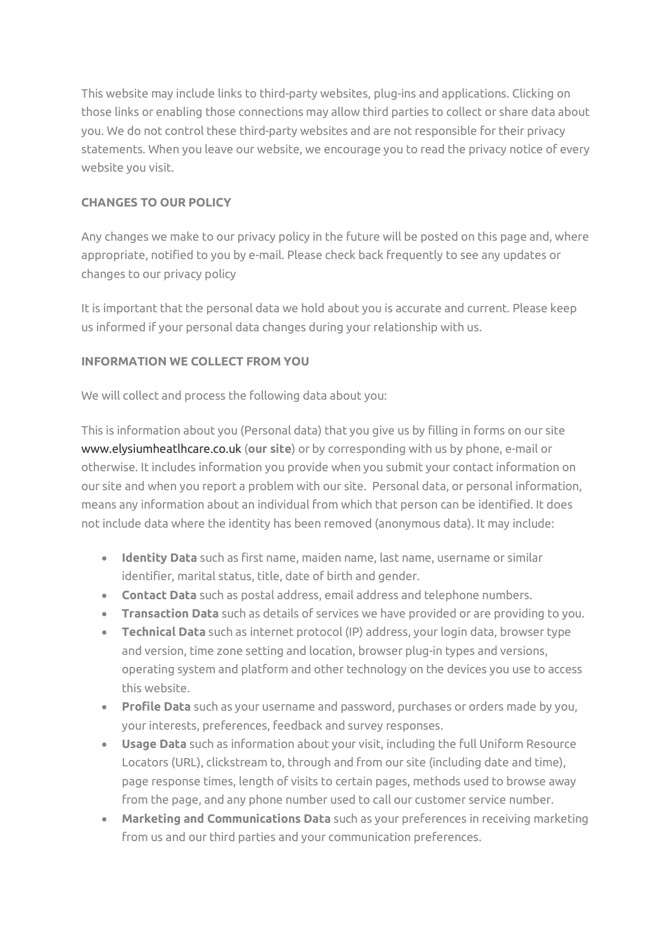This website may include links to third-party websites, plug-ins and applications. Clicking on those links or enabling those connections may allow third parties to collect or share data about you. We do not control these third-party websites and are not responsible for their privacy statements. When you leave our website, we encourage you to read the privacy notice of every website you visit.

## **CHANGES TO OUR POLICY**

Any changes we make to our privacy policy in the future will be posted on this page and, where appropriate, notified to you by e-mail. Please check back frequently to see any updates or changes to our privacy policy

It is important that the personal data we hold about you is accurate and current. Please keep us informed if your personal data changes during your relationship with us.

## **INFORMATION WE COLLECT FROM YOU**

We will collect and process the following data about you:

This is information about you (Personal data) that you give us by filling in forms on our site [www.elysiumheatlhcare.co.uk](http://www.elysiumheatlhcare.co.uk/) (**our site**) or by corresponding with us by phone, e-mail or otherwise. It includes information you provide when you submit your contact information on our site and when you report a problem with our site. Personal data, or personal information, means any information about an individual from which that person can be identified. It does not include data where the identity has been removed (anonymous data). It may include:

- **Identity Data** such as first name, maiden name, last name, username or similar identifier, marital status, title, date of birth and gender.
- **Contact Data** such as postal address, email address and telephone numbers.
- **Transaction Data** such as details of services we have provided or are providing to you.
- **Technical Data** such as internet protocol (IP) address, your login data, browser type and version, time zone setting and location, browser plug-in types and versions, operating system and platform and other technology on the devices you use to access this website.
- **Profile Data** such as your username and password, purchases or orders made by you, your interests, preferences, feedback and survey responses.
- **Usage Data** such as information about your visit, including the full Uniform Resource Locators (URL), clickstream to, through and from our site (including date and time), page response times, length of visits to certain pages, methods used to browse away from the page, and any phone number used to call our customer service number.
- **Marketing and Communications Data** such as your preferences in receiving marketing from us and our third parties and your communication preferences.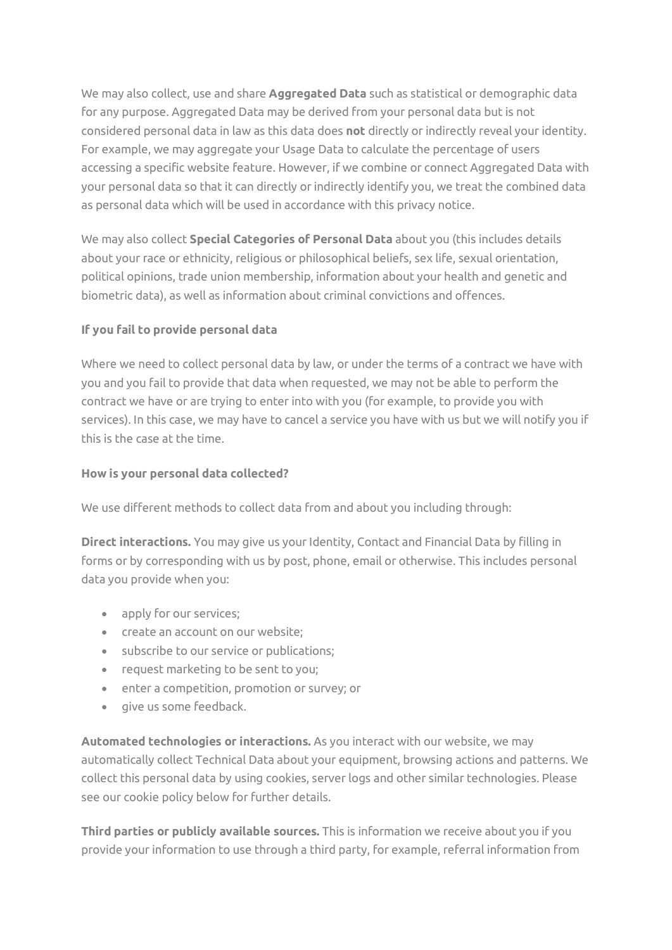We may also collect, use and share **Aggregated Data** such as statistical or demographic data for any purpose. Aggregated Data may be derived from your personal data but is not considered personal data in law as this data does **not** directly or indirectly reveal your identity. For example, we may aggregate your Usage Data to calculate the percentage of users accessing a specific website feature. However, if we combine or connect Aggregated Data with your personal data so that it can directly or indirectly identify you, we treat the combined data as personal data which will be used in accordance with this privacy notice.

We may also collect **Special Categories of Personal Data** about you (this includes details about your race or ethnicity, religious or philosophical beliefs, sex life, sexual orientation, political opinions, trade union membership, information about your health and genetic and biometric data), as well as information about criminal convictions and offences.

## **If you fail to provide personal data**

Where we need to collect personal data by law, or under the terms of a contract we have with you and you fail to provide that data when requested, we may not be able to perform the contract we have or are trying to enter into with you (for example, to provide you with services). In this case, we may have to cancel a service you have with us but we will notify you if this is the case at the time.

## **How is your personal data collected?**

We use different methods to collect data from and about you including through:

**Direct interactions.** You may give us your Identity, Contact and Financial Data by filling in forms or by corresponding with us by post, phone, email or otherwise. This includes personal data you provide when you:

- apply for our services;
- create an account on our website;
- subscribe to our service or publications;
- request marketing to be sent to you;
- enter a competition, promotion or survey; or
- give us some feedback.

**Automated technologies or interactions.** As you interact with our website, we may automatically collect Technical Data about your equipment, browsing actions and patterns. We collect this personal data by using cookies, server logs and other similar technologies. Please see our cookie policy below for further details.

**Third parties or publicly available sources.** This is information we receive about you if you provide your information to use through a third party, for example, referral information from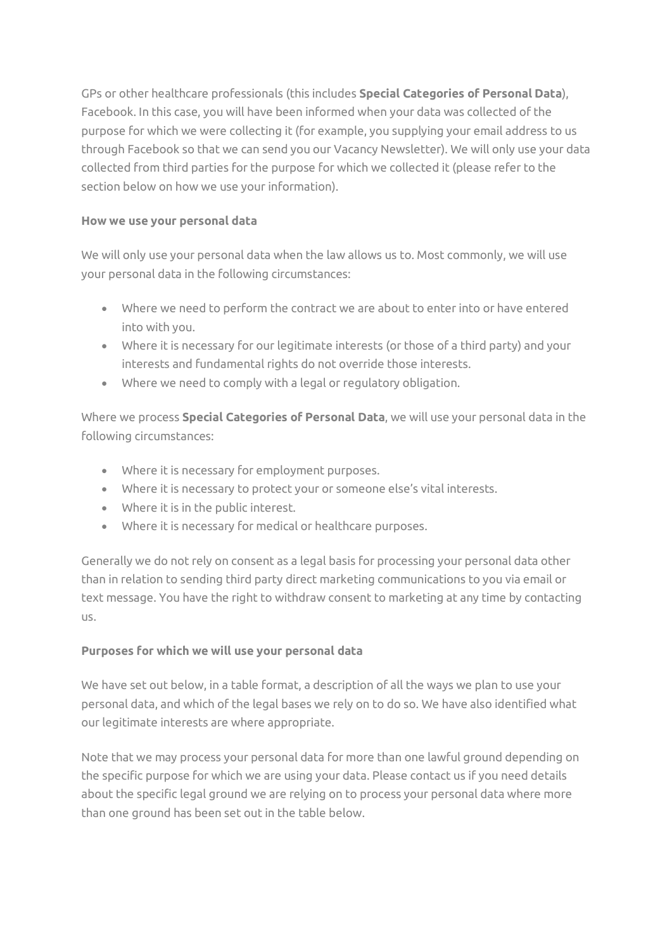GPs or other healthcare professionals (this includes **Special Categories of Personal Data**), Facebook. In this case, you will have been informed when your data was collected of the purpose for which we were collecting it (for example, you supplying your email address to us through Facebook so that we can send you our Vacancy Newsletter). We will only use your data collected from third parties for the purpose for which we collected it (please refer to the section below on how we use your information).

## **How we use your personal data**

We will only use your personal data when the law allows us to. Most commonly, we will use your personal data in the following circumstances:

- Where we need to perform the contract we are about to enter into or have entered into with you.
- Where it is necessary for our legitimate interests (or those of a third party) and your interests and fundamental rights do not override those interests.
- Where we need to comply with a legal or regulatory obligation.

Where we process **Special Categories of Personal Data**, we will use your personal data in the following circumstances:

- Where it is necessary for employment purposes.
- Where it is necessary to protect your or someone else's vital interests.
- Where it is in the public interest.
- Where it is necessary for medical or healthcare purposes.

Generally we do not rely on consent as a legal basis for processing your personal data other than in relation to sending third party direct marketing communications to you via email or text message. You have the right to withdraw consent to marketing at any time by contacting us.

# **Purposes for which we will use your personal data**

We have set out below, in a table format, a description of all the ways we plan to use your personal data, and which of the legal bases we rely on to do so. We have also identified what our legitimate interests are where appropriate.

Note that we may process your personal data for more than one lawful ground depending on the specific purpose for which we are using your data. Please contact us if you need details about the specific legal ground we are relying on to process your personal data where more than one ground has been set out in the table below.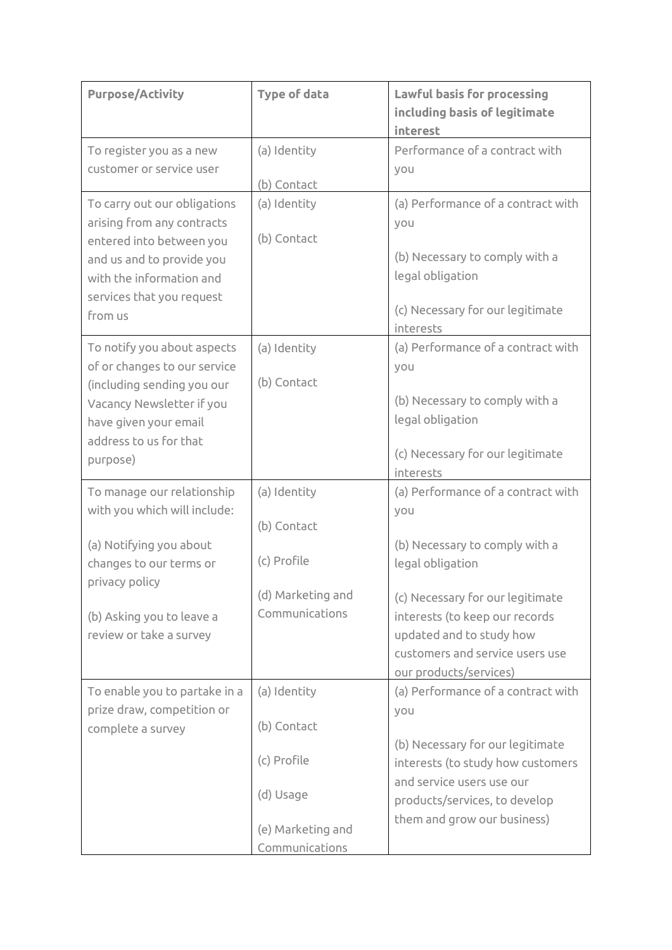| <b>Purpose/Activity</b>       | <b>Type of data</b> | Lawful basis for processing<br>including basis of legitimate<br>interest |  |
|-------------------------------|---------------------|--------------------------------------------------------------------------|--|
| To register you as a new      | (a) Identity        | Performance of a contract with                                           |  |
| customer or service user      |                     | you                                                                      |  |
|                               | (b) Contact         |                                                                          |  |
| To carry out our obligations  | (a) Identity        | (a) Performance of a contract with                                       |  |
| arising from any contracts    |                     | you                                                                      |  |
| entered into between you      | (b) Contact         |                                                                          |  |
| and us and to provide you     |                     | (b) Necessary to comply with a                                           |  |
| with the information and      |                     | legal obligation                                                         |  |
| services that you request     |                     | (c) Necessary for our legitimate                                         |  |
| from us                       |                     | interests                                                                |  |
| To notify you about aspects   | (a) Identity        | (a) Performance of a contract with                                       |  |
| of or changes to our service  |                     | you                                                                      |  |
| (including sending you our    | (b) Contact         |                                                                          |  |
| Vacancy Newsletter if you     |                     | (b) Necessary to comply with a                                           |  |
| have given your email         |                     | legal obligation                                                         |  |
| address to us for that        |                     |                                                                          |  |
| purpose)                      |                     | (c) Necessary for our legitimate                                         |  |
|                               |                     | interests                                                                |  |
| To manage our relationship    | (a) Identity        | (a) Performance of a contract with                                       |  |
| with you which will include:  |                     | you                                                                      |  |
|                               | (b) Contact         |                                                                          |  |
| (a) Notifying you about       | (c) Profile         | (b) Necessary to comply with a                                           |  |
| changes to our terms or       |                     | legal obligation                                                         |  |
| privacy policy                | (d) Marketing and   | (c) Necessary for our legitimate                                         |  |
| (b) Asking you to leave a     | Communications      | interests (to keep our records                                           |  |
| review or take a survey       |                     | updated and to study how                                                 |  |
|                               |                     | customers and service users use                                          |  |
|                               |                     | our products/services)                                                   |  |
| To enable you to partake in a | (a) Identity        | (a) Performance of a contract with                                       |  |
| prize draw, competition or    |                     | you                                                                      |  |
| complete a survey             | (b) Contact         |                                                                          |  |
|                               |                     | (b) Necessary for our legitimate                                         |  |
|                               | (c) Profile         | interests (to study how customers                                        |  |
|                               |                     | and service users use our                                                |  |
|                               | (d) Usage           | products/services, to develop                                            |  |
|                               | (e) Marketing and   | them and grow our business)                                              |  |
|                               | Communications      |                                                                          |  |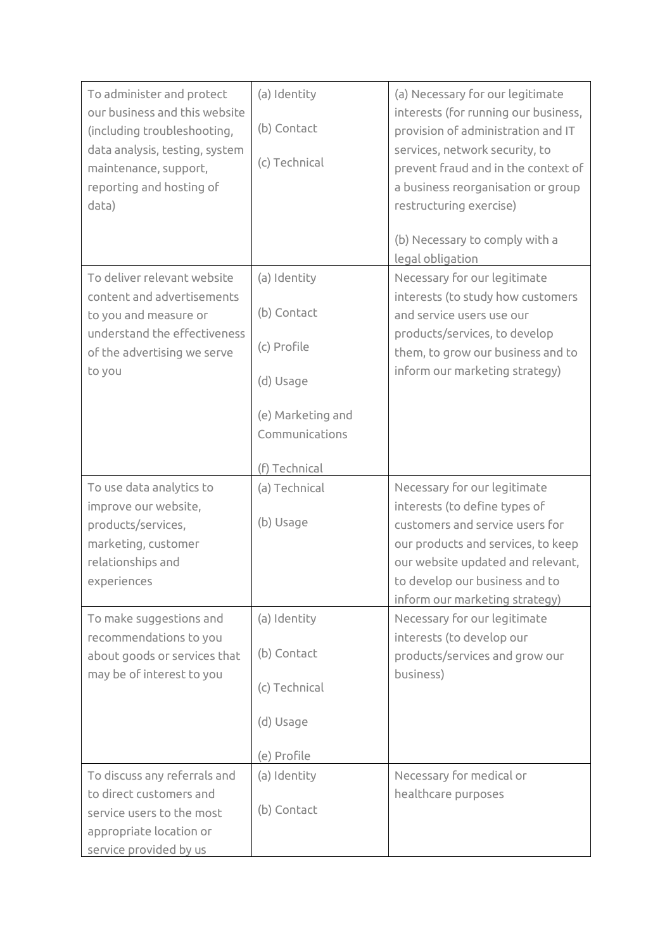| To administer and protect<br>our business and this website<br>(including troubleshooting,<br>data analysis, testing, system<br>maintenance, support,<br>reporting and hosting of<br>data)                                                           | (a) Identity<br>(b) Contact<br>(c) Technical                                                                    | (a) Necessary for our legitimate<br>interests (for running our business,<br>provision of administration and IT<br>services, network security, to<br>prevent fraud and in the context of<br>a business reorganisation or group<br>restructuring exercise)<br>(b) Necessary to comply with a<br>legal obligation                                              |
|-----------------------------------------------------------------------------------------------------------------------------------------------------------------------------------------------------------------------------------------------------|-----------------------------------------------------------------------------------------------------------------|-------------------------------------------------------------------------------------------------------------------------------------------------------------------------------------------------------------------------------------------------------------------------------------------------------------------------------------------------------------|
| To deliver relevant website<br>content and advertisements<br>to you and measure or<br>understand the effectiveness<br>of the advertising we serve<br>to you                                                                                         | (a) Identity<br>(b) Contact<br>(c) Profile<br>(d) Usage<br>(e) Marketing and<br>Communications<br>(f) Technical | Necessary for our legitimate<br>interests (to study how customers<br>and service users use our<br>products/services, to develop<br>them, to grow our business and to<br>inform our marketing strategy)                                                                                                                                                      |
| To use data analytics to<br>improve our website,<br>products/services,<br>marketing, customer<br>relationships and<br>experiences<br>To make suggestions and<br>recommendations to you<br>about goods or services that<br>may be of interest to you | (a) Technical<br>(b) Usage<br>(a) Identity<br>(b) Contact<br>(c) Technical<br>(d) Usage<br>(e) Profile          | Necessary for our legitimate<br>interests (to define types of<br>customers and service users for<br>our products and services, to keep<br>our website updated and relevant,<br>to develop our business and to<br>inform our marketing strategy)<br>Necessary for our legitimate<br>interests (to develop our<br>products/services and grow our<br>business) |
| To discuss any referrals and<br>to direct customers and<br>service users to the most<br>appropriate location or<br>service provided by us                                                                                                           | (a) Identity<br>(b) Contact                                                                                     | Necessary for medical or<br>healthcare purposes                                                                                                                                                                                                                                                                                                             |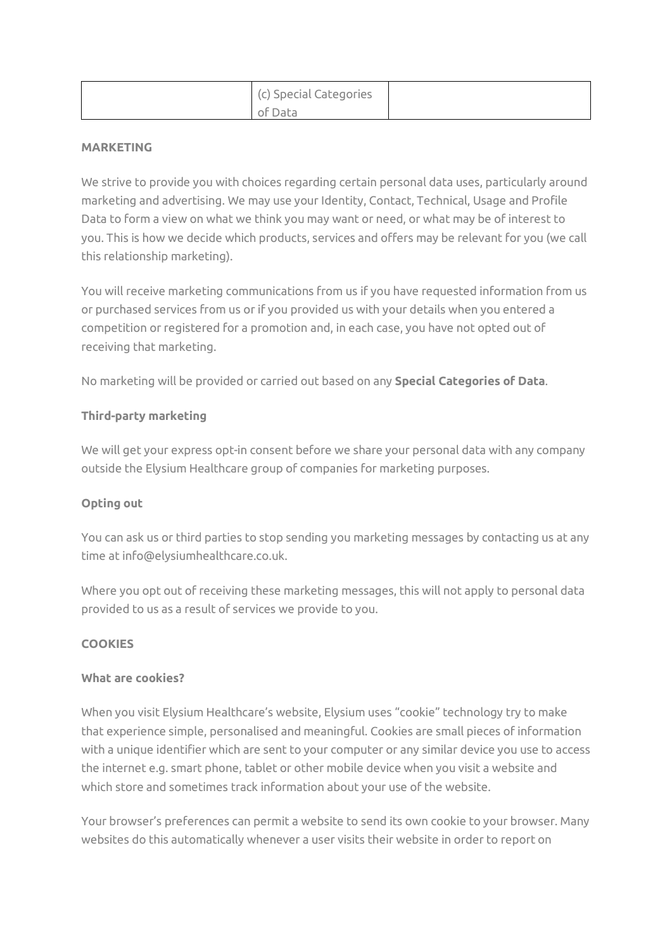| (c) Special Categories |  |
|------------------------|--|
| of Data                |  |

### **MARKETING**

We strive to provide you with choices regarding certain personal data uses, particularly around marketing and advertising. We may use your Identity, Contact, Technical, Usage and Profile Data to form a view on what we think you may want or need, or what may be of interest to you. This is how we decide which products, services and offers may be relevant for you (we call this relationship marketing).

You will receive marketing communications from us if you have requested information from us or purchased services from us or if you provided us with your details when you entered a competition or registered for a promotion and, in each case, you have not opted out of receiving that marketing.

No marketing will be provided or carried out based on any **Special Categories of Data**.

## **Third-party marketing**

We will get your express opt-in consent before we share your personal data with any company outside the Elysium Healthcare group of companies for marketing purposes.

## **Opting out**

You can ask us or third parties to stop sending you marketing messages by contacting us at any time at info@elysiumhealthcare.co.uk.

Where you opt out of receiving these marketing messages, this will not apply to personal data provided to us as a result of services we provide to you.

## **COOKIES**

### **What are cookies?**

When you visit Elysium Healthcare's website, Elysium uses "cookie" technology try to make that experience simple, personalised and meaningful. Cookies are small pieces of information with a unique identifier which are sent to your computer or any similar device you use to access the internet e.g. smart phone, tablet or other mobile device when you visit a website and which store and sometimes track information about your use of the website.

Your browser's preferences can permit a website to send its own cookie to your browser. Many websites do this automatically whenever a user visits their website in order to report on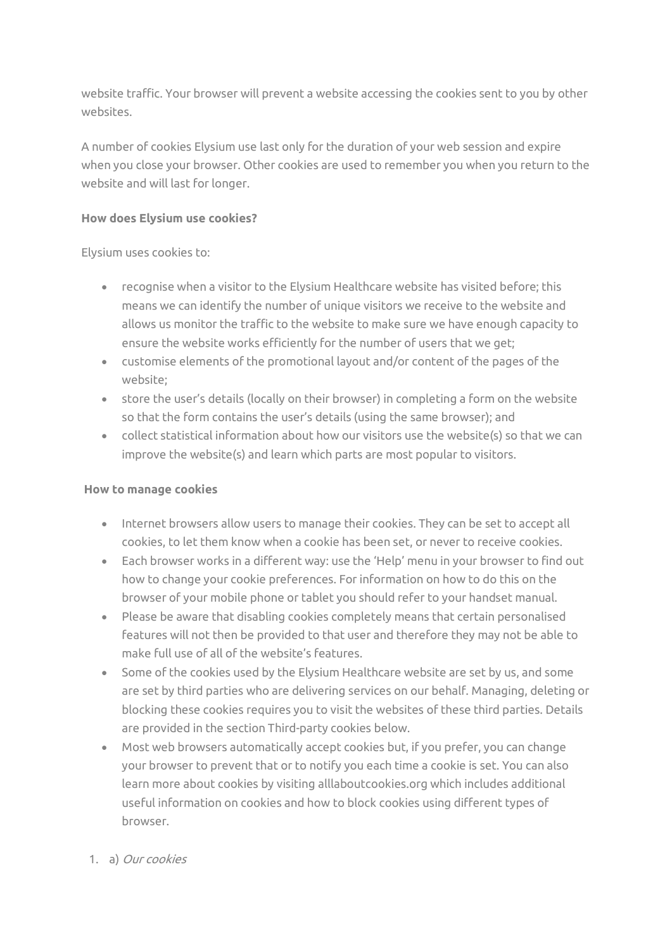website traffic. Your browser will prevent a website accessing the cookies sent to you by other websites.

A number of cookies Elysium use last only for the duration of your web session and expire when you close your browser. Other cookies are used to remember you when you return to the website and will last for longer.

## **How does Elysium use cookies?**

Elysium uses cookies to:

- recognise when a visitor to the Elysium Healthcare website has visited before; this means we can identify the number of unique visitors we receive to the website and allows us monitor the traffic to the website to make sure we have enough capacity to ensure the website works efficiently for the number of users that we get;
- customise elements of the promotional layout and/or content of the pages of the website;
- store the user's details (locally on their browser) in completing a form on the website so that the form contains the user's details (using the same browser); and
- collect statistical information about how our visitors use the website(s) so that we can improve the website(s) and learn which parts are most popular to visitors.

# **How to manage cookies**

- Internet browsers allow users to manage their cookies. They can be set to accept all cookies, to let them know when a cookie has been set, or never to receive cookies.
- Each browser works in a different way: use the 'Help' menu in your browser to find out how to change your cookie preferences. For information on how to do this on the browser of your mobile phone or tablet you should refer to your handset manual.
- Please be aware that disabling cookies completely means that certain personalised features will not then be provided to that user and therefore they may not be able to make full use of all of the website's features.
- Some of the cookies used by the Elysium Healthcare website are set by us, and some are set by third parties who are delivering services on our behalf. Managing, deleting or blocking these cookies requires you to visit the websites of these third parties. Details are provided in the section Third-party cookies below.
- Most web browsers automatically accept cookies but, if you prefer, you can change your browser to prevent that or to notify you each time a cookie is set. You can also learn more about cookies by visitin[g alllaboutcookies.org](http://www.alllaboutcookies.org/) which includes additional useful information on cookies and how to block cookies using different types of browser.

# 1. a) Our cookies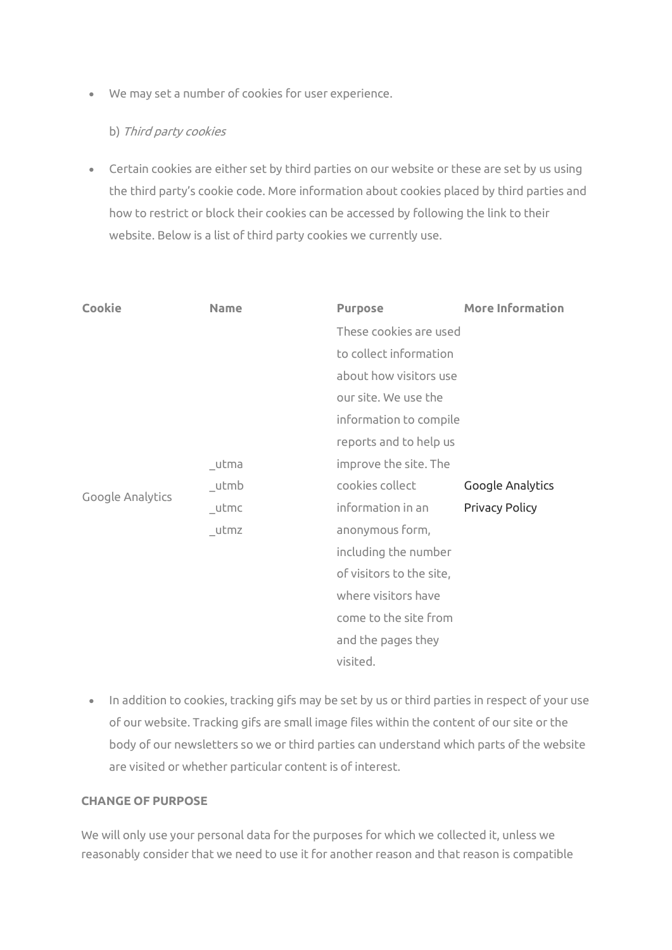• We may set a number of cookies for user experience.

### b) Third party cookies

• Certain cookies are either set by third parties on our website or these are set by us using the third party's cookie code. More information about cookies placed by third parties and how to restrict or block their cookies can be accessed by following the link to their website. Below is a list of third party cookies we currently use.

| Cookie           | <b>Name</b> | <b>Purpose</b>           | <b>More Information</b> |
|------------------|-------------|--------------------------|-------------------------|
|                  |             | These cookies are used   |                         |
|                  |             | to collect information   |                         |
| Google Analytics |             | about how visitors use   |                         |
|                  |             | our site. We use the     |                         |
|                  |             | information to compile   |                         |
|                  |             | reports and to help us   |                         |
|                  | _utma       | improve the site. The    |                         |
|                  | _utmb       | cookies collect          | Google Analytics        |
|                  | _utmc       | information in an        | <b>Privacy Policy</b>   |
|                  | utmz        | anonymous form,          |                         |
|                  |             | including the number     |                         |
|                  |             | of visitors to the site, |                         |
|                  |             | where visitors have      |                         |
|                  |             | come to the site from    |                         |
|                  |             | and the pages they       |                         |
|                  |             | visited.                 |                         |

• In addition to cookies, tracking gifs may be set by us or third parties in respect of your use of our website. Tracking gifs are small image files within the content of our site or the body of our newsletters so we or third parties can understand which parts of the website are visited or whether particular content is of interest.

### **CHANGE OF PURPOSE**

We will only use your personal data for the purposes for which we collected it, unless we reasonably consider that we need to use it for another reason and that reason is compatible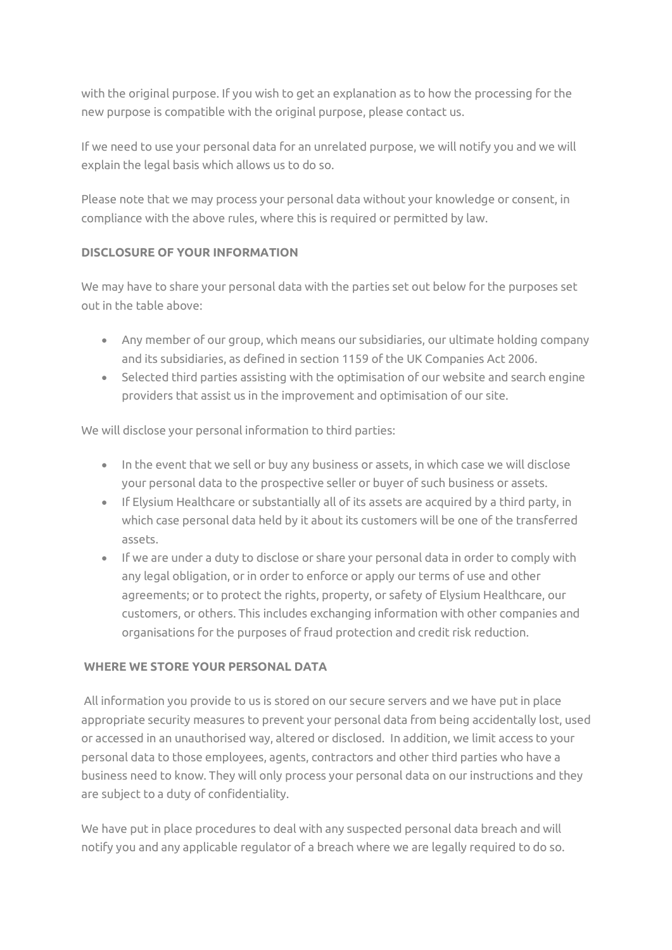with the original purpose. If you wish to get an explanation as to how the processing for the new purpose is compatible with the original purpose, please contact us.

If we need to use your personal data for an unrelated purpose, we will notify you and we will explain the legal basis which allows us to do so.

Please note that we may process your personal data without your knowledge or consent, in compliance with the above rules, where this is required or permitted by law.

# **DISCLOSURE OF YOUR INFORMATION**

We may have to share your personal data with the parties set out below for the purposes set out in the table above:

- Any member of our group, which means our subsidiaries, our ultimate holding company and its subsidiaries, as defined in section 1159 of the UK Companies Act 2006.
- Selected third parties assisting with the optimisation of our website and search engine providers that assist us in the improvement and optimisation of our site.

We will disclose your personal information to third parties:

- In the event that we sell or buy any business or assets, in which case we will disclose your personal data to the prospective seller or buyer of such business or assets.
- If Elysium Healthcare or substantially all of its assets are acquired by a third party, in which case personal data held by it about its customers will be one of the transferred assets.
- If we are under a duty to disclose or share your personal data in order to comply with any legal obligation, or in order to enforce or apply our terms of use and other agreements; or to protect the rights, property, or safety of Elysium Healthcare, our customers, or others. This includes exchanging information with other companies and organisations for the purposes of fraud protection and credit risk reduction.

## **WHERE WE STORE YOUR PERSONAL DATA**

All information you provide to us is stored on our secure servers and we have put in place appropriate security measures to prevent your personal data from being accidentally lost, used or accessed in an unauthorised way, altered or disclosed. In addition, we limit access to your personal data to those employees, agents, contractors and other third parties who have a business need to know. They will only process your personal data on our instructions and they are subject to a duty of confidentiality.

We have put in place procedures to deal with any suspected personal data breach and will notify you and any applicable regulator of a breach where we are legally required to do so.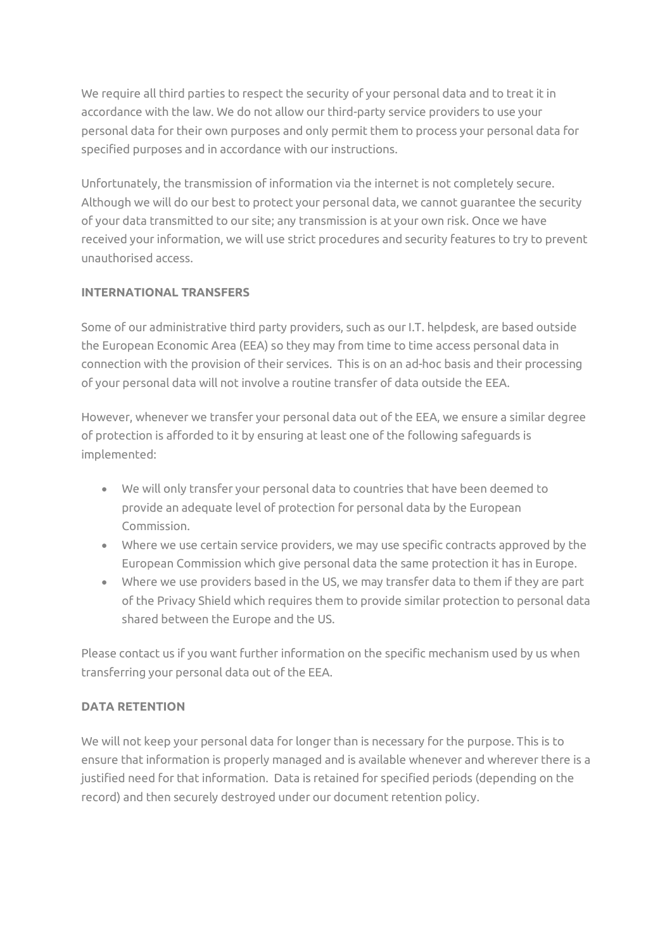We require all third parties to respect the security of your personal data and to treat it in accordance with the law. We do not allow our third-party service providers to use your personal data for their own purposes and only permit them to process your personal data for specified purposes and in accordance with our instructions.

Unfortunately, the transmission of information via the internet is not completely secure. Although we will do our best to protect your personal data, we cannot guarantee the security of your data transmitted to our site; any transmission is at your own risk. Once we have received your information, we will use strict procedures and security features to try to prevent unauthorised access.

## **INTERNATIONAL TRANSFERS**

Some of our administrative third party providers, such as our I.T. helpdesk, are based outside the European Economic Area (EEA) so they may from time to time access personal data in connection with the provision of their services. This is on an ad-hoc basis and their processing of your personal data will not involve a routine transfer of data outside the EEA.

However, whenever we transfer your personal data out of the EEA, we ensure a similar degree of protection is afforded to it by ensuring at least one of the following safeguards is implemented:

- We will only transfer your personal data to countries that have been deemed to provide an adequate level of protection for personal data by the European Commission.
- Where we use certain service providers, we may use specific contracts approved by the European Commission which give personal data the same protection it has in Europe.
- Where we use providers based in the US, we may transfer data to them if they are part of the Privacy Shield which requires them to provide similar protection to personal data shared between the Europe and the US.

Please contact us if you want further information on the specific mechanism used by us when transferring your personal data out of the EEA.

## **DATA RETENTION**

We will not keep your personal data for longer than is necessary for the purpose. This is to ensure that information is properly managed and is available whenever and wherever there is a justified need for that information. Data is retained for specified periods (depending on the record) and then securely destroyed under our document retention policy.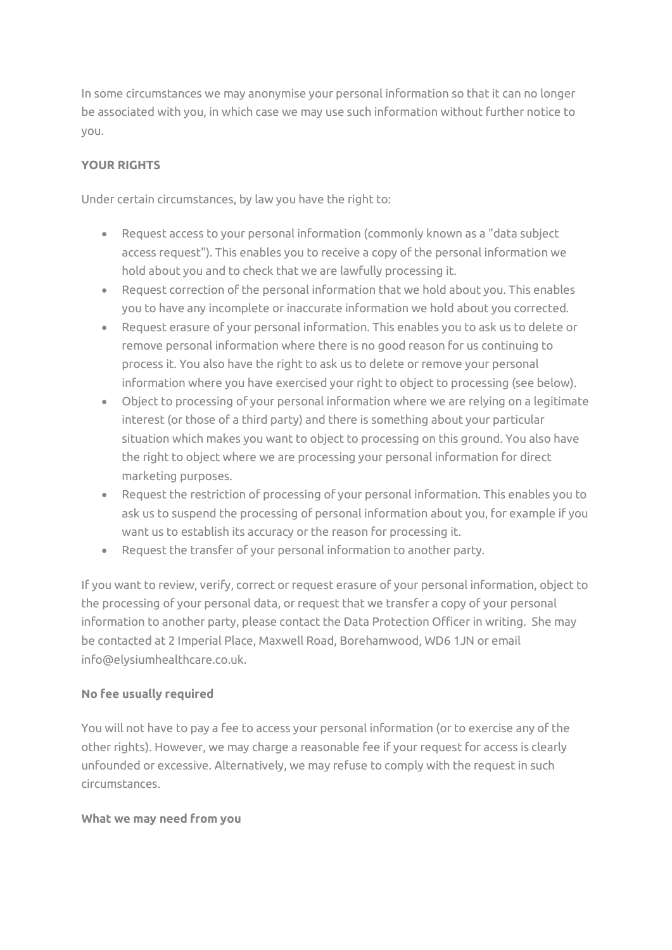In some circumstances we may anonymise your personal information so that it can no longer be associated with you, in which case we may use such information without further notice to you.

## **YOUR RIGHTS**

Under certain circumstances, by law you have the right to:

- Request access to your personal information (commonly known as a "data subject access request"). This enables you to receive a copy of the personal information we hold about you and to check that we are lawfully processing it.
- Request correction of the personal information that we hold about you. This enables you to have any incomplete or inaccurate information we hold about you corrected.
- Request erasure of your personal information. This enables you to ask us to delete or remove personal information where there is no good reason for us continuing to process it. You also have the right to ask us to delete or remove your personal information where you have exercised your right to object to processing (see below).
- Object to processing of your personal information where we are relying on a legitimate interest (or those of a third party) and there is something about your particular situation which makes you want to object to processing on this ground. You also have the right to object where we are processing your personal information for direct marketing purposes.
- Request the restriction of processing of your personal information. This enables you to ask us to suspend the processing of personal information about you, for example if you want us to establish its accuracy or the reason for processing it.
- Request the transfer of your personal information to another party.

If you want to review, verify, correct or request erasure of your personal information, object to the processing of your personal data, or request that we transfer a copy of your personal information to another party, please contact the Data Protection Officer in writing. She may be contacted at 2 Imperial Place, Maxwell Road, Borehamwood, WD6 1JN or email info@elysiumhealthcare.co.uk.

## **No fee usually required**

You will not have to pay a fee to access your personal information (or to exercise any of the other rights). However, we may charge a reasonable fee if your request for access is clearly unfounded or excessive. Alternatively, we may refuse to comply with the request in such circumstances.

### **What we may need from you**